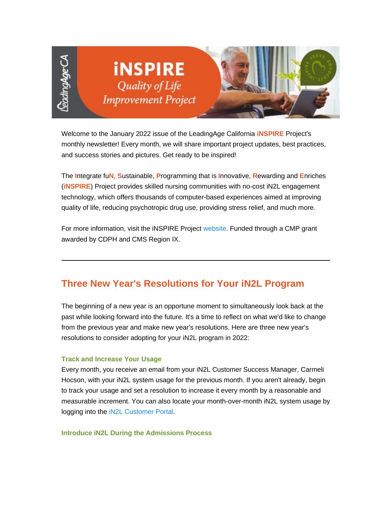

Welcome to the January 2022 issue of the LeadingAge California **iNSPIRE** Project's monthly newsletter! Every month, we will share important project updates, best practices, and success stories and pictures. Get ready to be inspired!

The **I**ntegrate fu**N**, **S**ustainable, **P**rogramming that is **I**nnovative, **R**ewarding and **E**nriches (**iNSPIRE**) Project provides skilled nursing communities with no-cost iN2L engagement technology, which offers thousands of computer-based experiences aimed at improving quality of life, reducing psychotropic drug use, providing stress relief, and much more.

For more information, visit the iNSPIRE Project [website.](https://nam11.safelinks.protection.outlook.com/?url=https%3A%2F%2Fu6486279.ct.sendgrid.net%2Fls%2Fclick%3Fupn%3DhxRT-2BaJEwPX7D4KE9buaoAg5Brfv2cN8A5e1JC-2BqxYPD-2BDP8Isd3kVAFaGTmYXsFIOf-2FulD4821JisBPAUKPeQ-3D-3DggHm_ynjBnrLOJw6JesCQaGcSU1U4FraFfNtAbtcdLdsaHlkBDiFVMUz2TmDV3khhnfdiNk2F-2BHi29Spr3KgAvp-2Bxk5fKwV1uOmS0gy7y1pyBYHxPjPHcJEdgImzjvIuU1ASBbytFMAqOmpD3Hwdary9hWndNt0E9ECj0DkwV3sErcI5D-2BNvIJNaGFJkI0RmpQwqPuV89zuZ7c1a3gVxNNf2fMs2GExsVpRmiZcot8huBDKU1bNOArndZ9XDdhDP27xJ6IrjDaE-2FVNHCsJRzlul7DsO4XS4n3I-2BoxMCf-2F9-2BlTYAIwyQiCU5JGXb2gonbV8VK70a7z2PqeYCV07CyKsQGRlcu9JUKZSE-2FeSdQE0N91pRom-2FliGc9a1CMavGt4vfeg-2Bac5DDX7hlQFj42DW-2BO5K2gDrtDWkj1kZK6oz0xbrCNPWWLEZhRBSBqR7Ibos-2Ftxumi-2BFdBw5jA2Y9KHy4iY8Pg-3D-3D&data=04%7C01%7Cadavidson%40leadingageca.org%7Cb039420d162d42c1035308d9da9c08bc%7C0d860a7502b14b43954fe1205876f72f%7C0%7C0%7C637781185982323533%7CUnknown%7CTWFpbGZsb3d8eyJWIjoiMC4wLjAwMDAiLCJQIjoiV2luMzIiLCJBTiI6Ik1haWwiLCJXVCI6Mn0%3D%7C3000&sdata=Dx4U9H8sJ1s8hO6kWxiObt9eV%2Bww4h9WaGjmedHFM4k%3D&reserved=0) Funded through a CMP grant awarded by CDPH and CMS Region IX.

## **Three New Year's Resolutions for Your iN2L Program**

The beginning of a new year is an opportune moment to simultaneously look back at the past while looking forward into the future. It's a time to reflect on what we'd like to change from the previous year and make new year's resolutions. Here are three new year's resolutions to consider adopting for your iN2L program in 2022:

### **Track and Increase Your Usage**

Every month, you receive an email from your iN2L Customer Success Manager, Carmeli Hocson, with your iN2L system usage for the previous month. If you aren't already, begin to track your usage and set a resolution to increase it every month by a reasonable and measurable increment. You can also locate your month-over-month iN2L system usage by logging into the iN2L [Customer Portal.](https://nam11.safelinks.protection.outlook.com/?url=https%3A%2F%2Fu6486279.ct.sendgrid.net%2Fls%2Fclick%3Fupn%3DhxRT-2BaJEwPX7D4KE9buaoFct07YoNs40Dqij5n01-2F8-2FXdAZxR1DHsD-2F5XGSWhBBUWS7H_ynjBnrLOJw6JesCQaGcSU1U4FraFfNtAbtcdLdsaHlkBDiFVMUz2TmDV3khhnfdiNk2F-2BHi29Spr3KgAvp-2Bxk5fKwV1uOmS0gy7y1pyBYHxPjPHcJEdgImzjvIuU1ASBbytFMAqOmpD3Hwdary9hWndNt0E9ECj0DkwV3sErcI5D-2BNvIJNaGFJkI0RmpQwqPuV89zuZ7c1a3gVxNNf2fMs2GExsVpRmiZcot8huBDKU1bNOArndZ9XDdhDP27xJ6TEpOMbPfUYZCYV7PprtB7xelSNcHCUCF3J4389Aa0NKgvctnWCvMeUl8VoMXd1iyCYFluOIAoQvKxzsArwePypZs2Fb08qD1GUGdbAOPUBKXQdSBhC5YA6-2Bo2zX-2BQnYsxrAS3mYeiEUZCu674S1gOqZcfahzoz5472HP-2Fp2xVbqbLxOT3lXC-2BYVswqu8qxbE8bRCrPcW-2F5qqGHVfsSL5ww-3D-3D&data=04%7C01%7Cadavidson%40leadingageca.org%7Cb039420d162d42c1035308d9da9c08bc%7C0d860a7502b14b43954fe1205876f72f%7C0%7C0%7C637781185982323533%7CUnknown%7CTWFpbGZsb3d8eyJWIjoiMC4wLjAwMDAiLCJQIjoiV2luMzIiLCJBTiI6Ik1haWwiLCJXVCI6Mn0%3D%7C3000&sdata=2qEIR4EMN94YtzdN43esS9CtwnAAgDD2DAfheWQSecQ%3D&reserved=0)

### **Introduce iN2L During the Admissions Process**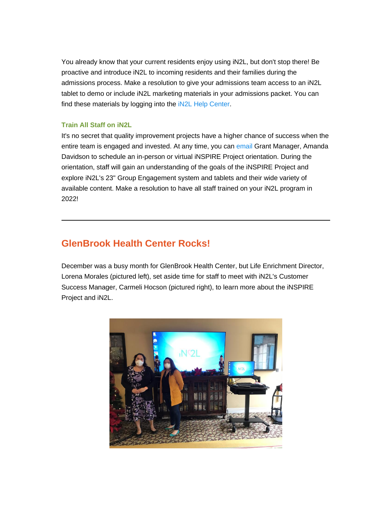You already know that your current residents enjoy using iN2L, but don't stop there! Be proactive and introduce iN2L to incoming residents and their families during the admissions process. Make a resolution to give your admissions team access to an iN2L tablet to demo or include iN2L marketing materials in your admissions packet. You can find these materials by logging into the iN2L [Help Center.](https://nam11.safelinks.protection.outlook.com/?url=https%3A%2F%2Fu6486279.ct.sendgrid.net%2Fls%2Fclick%3Fupn%3DhxRT-2BaJEwPX7D4KE9buaoLjRLzDd5BFH2r6qXPQz2YcZauP-2FjzrwpUoLfgC3PGg9MUa4_ynjBnrLOJw6JesCQaGcSU1U4FraFfNtAbtcdLdsaHlkBDiFVMUz2TmDV3khhnfdiNk2F-2BHi29Spr3KgAvp-2Bxk5fKwV1uOmS0gy7y1pyBYHxPjPHcJEdgImzjvIuU1ASBbytFMAqOmpD3Hwdary9hWndNt0E9ECj0DkwV3sErcI5D-2BNvIJNaGFJkI0RmpQwqPuV89zuZ7c1a3gVxNNf2fMs2GExsVpRmiZcot8huBDKU1bNOArndZ9XDdhDP27xJ6h0p5Pjzuf4KEWm5yy8ok6QxJIZQu2w-2BbJkc51-2BdNGVlKF0PCRuF2egYrrb7VzxqKW2q1-2BQK4U4n5ZOWq38nKgoMGm-2BU1oU71CiAP1bvhkemmW4Kx5E3meFo04v-2BqpnvWROvWbVqxuWXXZxLBZ9TI-2FB93C4xvZKVU-2BTIW7jaLCRn-2BYEa-2BFXaxb9x-2FOdBUoax4kFHuqLng0uYhCiyn-2B1-2BR5Q-3D-3D&data=04%7C01%7Cadavidson%40leadingageca.org%7Cb039420d162d42c1035308d9da9c08bc%7C0d860a7502b14b43954fe1205876f72f%7C0%7C0%7C637781185982323533%7CUnknown%7CTWFpbGZsb3d8eyJWIjoiMC4wLjAwMDAiLCJQIjoiV2luMzIiLCJBTiI6Ik1haWwiLCJXVCI6Mn0%3D%7C3000&sdata=XWOFYyoErd%2FUDTpQZkn%2BtjwoEp1a%2BwJiCAQgsNFGcLo%3D&reserved=0)

### **Train All Staff on iN2L**

It's no secret that quality improvement projects have a higher chance of success when the entire team is engaged and invested. At any time, you can [email](mailto:adavidson@leadingageca.org) Grant Manager, Amanda Davidson to schedule an in-person or virtual iNSPIRE Project orientation. During the orientation, staff will gain an understanding of the goals of the iNSPIRE Project and explore iN2L's 23" Group Engagement system and tablets and their wide variety of available content. Make a resolution to have all staff trained on your iN2L program in 2022!

### **GlenBrook Health Center Rocks!**

December was a busy month for GlenBrook Health Center, but Life Enrichment Director, Lorena Morales (pictured left), set aside time for staff to meet with iN2L's Customer Success Manager, Carmeli Hocson (pictured right), to learn more about the iNSPIRE Project and iN2L.

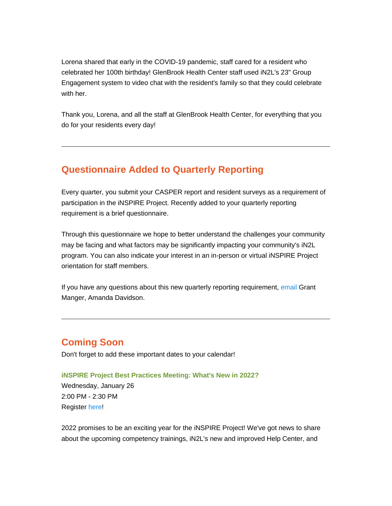Lorena shared that early in the COVID-19 pandemic, staff cared for a resident who celebrated her 100th birthday! GlenBrook Health Center staff used iN2L's 23" Group Engagement system to video chat with the resident's family so that they could celebrate with her.

Thank you, Lorena, and all the staff at GlenBrook Health Center, for everything that you do for your residents every day!

### **Questionnaire Added to Quarterly Reporting**

Every quarter, you submit your CASPER report and resident surveys as a requirement of participation in the iNSPIRE Project. Recently added to your quarterly reporting requirement is a brief questionnaire.

Through this questionnaire we hope to better understand the challenges your community may be facing and what factors may be significantly impacting your community's iN2L program. You can also indicate your interest in an in-person or virtual iNSPIRE Project orientation for staff members.

If you have any questions about this new quarterly reporting requirement, [email](mailto:adavidson@leadingageca.org) Grant Manger, Amanda Davidson.

# **Coming Soon**

Don't forget to add these important dates to your calendar!

### **iNSPIRE Project Best Practices Meeting: What's New in 2022?**

Wednesday, January 26 2:00 PM - 2:30 PM Registe[r](https://nam11.safelinks.protection.outlook.com/?url=https%3A%2F%2Fu6486279.ct.sendgrid.net%2Fls%2Fclick%3Fupn%3DhxRT-2BaJEwPX7D4KE9buaoLcBV9zYwUqR4Zz6VT5aqkoE9V4zRvcdxsoj3HizFRFKmKjbYryMl02cBIwISUC34x1KS9Vav002KnAYGeCiHyqkX4CW9w3LlAIRB4QyPal9hwVq_ynjBnrLOJw6JesCQaGcSU1U4FraFfNtAbtcdLdsaHlkBDiFVMUz2TmDV3khhnfdiNk2F-2BHi29Spr3KgAvp-2Bxk5fKwV1uOmS0gy7y1pyBYHxPjPHcJEdgImzjvIuU1ASBbytFMAqOmpD3Hwdary9hWndNt0E9ECj0DkwV3sErcI5D-2BNvIJNaGFJkI0RmpQwqPuV89zuZ7c1a3gVxNNf2fMs2GExsVpRmiZcot8huBDKU1bNOArndZ9XDdhDP27xJ6SDhcgujKUn9yOP4ypj3Pkb81K0-2FChn1xDoofpzcg7QiQjVgXGJ5vIBdrF47qO7LN0Fr844-2FRbjSNMWnMnpS-2FJV9BIdy0HyFPgM9zxw24ddYFDCMwkRi-2FD8sqhQgLD5pXWNZ9Uit1VIWvDICCzvgLuw-2FmDzcjJDWemQncKMewi5lYNQ6Tob5hTFzSJGw0ucU2G2Wsy1cbEG-2FUdaBhr1ezdw-3D-3D&data=04%7C01%7Cadavidson%40leadingageca.org%7Cb039420d162d42c1035308d9da9c08bc%7C0d860a7502b14b43954fe1205876f72f%7C0%7C0%7C637781185982323533%7CUnknown%7CTWFpbGZsb3d8eyJWIjoiMC4wLjAwMDAiLCJQIjoiV2luMzIiLCJBTiI6Ik1haWwiLCJXVCI6Mn0%3D%7C3000&sdata=sIhN3PmNEU9Rk%2F8cUhg9q5i1E22xfJgcqL7%2FTyQQg6Y%3D&reserved=0) [here!](https://nam11.safelinks.protection.outlook.com/?url=https%3A%2F%2Fu6486279.ct.sendgrid.net%2Fls%2Fclick%3Fupn%3DhxRT-2BaJEwPX7D4KE9buaoLcBV9zYwUqR4Zz6VT5aqkoE9V4zRvcdxsoj3HizFRFKL-2F4wfIkflQp5k5K4qlE-2BDPPwVhKpwERV0d8eq4SfHol05s2UhhKRjHFFAFO8OLtji0-q_ynjBnrLOJw6JesCQaGcSU1U4FraFfNtAbtcdLdsaHlkBDiFVMUz2TmDV3khhnfdiNk2F-2BHi29Spr3KgAvp-2Bxk5fKwV1uOmS0gy7y1pyBYHxPjPHcJEdgImzjvIuU1ASBbytFMAqOmpD3Hwdary9hWndNt0E9ECj0DkwV3sErcI5D-2BNvIJNaGFJkI0RmpQwqPuV89zuZ7c1a3gVxNNf2fMs2GExsVpRmiZcot8huBDKU1bNOArndZ9XDdhDP27xJ6pFOLPw08dMM54Wt01x-2B36ok16wJTRnyTwva7V01DHyZFiiNaWinvplFFQw0JlWBec1PHi4o6DW-2BH-2FtEtVGniKw9N3SZEBDtm0Ezu9YCoRK819f-2F5vKskChqi9cALA-2FLEuxBv5xCYIOewwozqbvqdQ3rDYleeZ43krHCZjbRLZU5HF5CySoKFL96q2gep5-2FjeyFNeKSWDe5jUGE6VYa4l2g-3D-3D&data=04%7C01%7Cadavidson%40leadingageca.org%7Cb039420d162d42c1035308d9da9c08bc%7C0d860a7502b14b43954fe1205876f72f%7C0%7C0%7C637781185982323533%7CUnknown%7CTWFpbGZsb3d8eyJWIjoiMC4wLjAwMDAiLCJQIjoiV2luMzIiLCJBTiI6Ik1haWwiLCJXVCI6Mn0%3D%7C3000&sdata=nkdEMEnwId1eKgt82YQUkRe4hBj6H2QOvLV%2BEh01E%2F8%3D&reserved=0)

2022 promises to be an exciting year for the iNSPIRE Project! We've got news to share about the upcoming competency trainings, iN2L's new and improved Help Center, and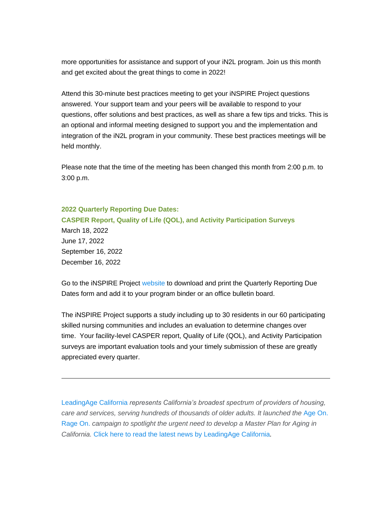more opportunities for assistance and support of your iN2L program. Join us this month and get excited about the great things to come in 2022!

Attend this 30-minute best practices meeting to get your iNSPIRE Project questions answered. Your support team and your peers will be available to respond to your questions, offer solutions and best practices, as well as share a few tips and tricks. This is an optional and informal meeting designed to support you and the implementation and integration of the iN2L program in your community. These best practices meetings will be held monthly.

Please note that the time of the meeting has been changed this month from 2:00 p.m. to 3:00 p.m.

#### **2022 Quarterly Reporting Due Dates:**

**CASPER Report, Quality of Life (QOL), and Activity Participation Surveys** March 18, 2022 June 17, 2022 September 16, 2022 December 16, 2022

Go to the iNSPIRE Project [website](https://nam11.safelinks.protection.outlook.com/?url=https%3A%2F%2Fu6486279.ct.sendgrid.net%2Fls%2Fclick%3Fupn%3DhxRT-2BaJEwPX7D4KE9buaoAg5Brfv2cN8A5e1JC-2BqxYPD-2BDP8Isd3kVAFaGTmYXsFIOf-2FulD4821JisBPAUKPeQ-3D-3D_nSU_ynjBnrLOJw6JesCQaGcSU1U4FraFfNtAbtcdLdsaHlkBDiFVMUz2TmDV3khhnfdiNk2F-2BHi29Spr3KgAvp-2Bxk5fKwV1uOmS0gy7y1pyBYHxPjPHcJEdgImzjvIuU1ASBbytFMAqOmpD3Hwdary9hWndNt0E9ECj0DkwV3sErcI5D-2BNvIJNaGFJkI0RmpQwqPuV89zuZ7c1a3gVxNNf2fMs2GExsVpRmiZcot8huBDKU1bNOArndZ9XDdhDP27xJ68XgpjyyrENPwuQWyD-2BaNQPE7L-2FNRdsw6XXVP9GIcSMKSrQ-2B60Ne0qaiN-2BYI9k4MJCCWsp9OePedtaXzjELlEVkSB5lcpdSp4MixcolOHc5OpvG-2FKj509g4z0-2BeOsKFbk31X0YNqejEDgE8cVLACxyzU6ddnt1qdEQWigKZZSi1dtXXWH8j04K09b9KV2Y-2FTPpVHeOmS5A-2BKra-2B4ypf5iyQ-3D-3D&data=04%7C01%7Cadavidson%40leadingageca.org%7Cb039420d162d42c1035308d9da9c08bc%7C0d860a7502b14b43954fe1205876f72f%7C0%7C0%7C637781185982323533%7CUnknown%7CTWFpbGZsb3d8eyJWIjoiMC4wLjAwMDAiLCJQIjoiV2luMzIiLCJBTiI6Ik1haWwiLCJXVCI6Mn0%3D%7C3000&sdata=x2QYfg43f%2FA3S2XPwjCc21YJjrXMZpgOU7iwu5ItWVI%3D&reserved=0) to download and print the Quarterly Reporting Due Dates form and add it to your program binder or an office bulletin board.

The iNSPIRE Project supports a study including up to 30 residents in our 60 participating skilled nursing communities and includes an evaluation to determine changes over time. Your facility-level CASPER report, Quality of Life (QOL), and Activity Participation surveys are important evaluation tools and your timely submission of these are greatly appreciated every quarter.

[LeadingAge California](https://nam11.safelinks.protection.outlook.com/?url=https%3A%2F%2Fu6486279.ct.sendgrid.net%2Fls%2Fclick%3Fupn%3DhxRT-2BaJEwPX7D4KE9buaoAg5Brfv2cN8A5e1JC-2BqxYPurxDFWtnY8E4UK4UNFOfox61i_ynjBnrLOJw6JesCQaGcSU1U4FraFfNtAbtcdLdsaHlkBDiFVMUz2TmDV3khhnfdiNk2F-2BHi29Spr3KgAvp-2Bxk5fKwV1uOmS0gy7y1pyBYHxPjPHcJEdgImzjvIuU1ASBbytFMAqOmpD3Hwdary9hWndNt0E9ECj0DkwV3sErcI5D-2BNvIJNaGFJkI0RmpQwqPuV89zuZ7c1a3gVxNNf2fMs2GExsVpRmiZcot8huBDKU1bNOArndZ9XDdhDP27xJ6gRzzd-2FfHfBhbGRj7g39K5RGF6HWPGTP8h2-2BRxDsSceR53M78WUG-2BQ56e-2BoIy7QNluEPK5QxSDIQcyD05jiPzqVbi5G5B9gq-2FCYTqHuch5DcqvmppwbpZo-2FP6aXcs4oJyk7hckHEIIELy0pHDQ8iMGfGYfuT2ALMQFr9-2FHekncsAUSFVlFQpMv4GHhthbfzQ1N-2B7Cqe93hJpivv-2Bi9mxJ-2Fg-3D-3D&data=04%7C01%7Cadavidson%40leadingageca.org%7Cb039420d162d42c1035308d9da9c08bc%7C0d860a7502b14b43954fe1205876f72f%7C0%7C0%7C637781185982323533%7CUnknown%7CTWFpbGZsb3d8eyJWIjoiMC4wLjAwMDAiLCJQIjoiV2luMzIiLCJBTiI6Ik1haWwiLCJXVCI6Mn0%3D%7C3000&sdata=rHF0h%2Bqim0oCnfZdP9S6YU9y6Gn1Ez0H12KS5A%2BT140%3D&reserved=0) *represents California's broadest spectrum of providers of housing, care and services, serving hundreds of thousands of older adults. It launched the* [Age On.](https://nam11.safelinks.protection.outlook.com/?url=https%3A%2F%2Fu6486279.ct.sendgrid.net%2Fls%2Fclick%3Fupn%3DhxRT-2BaJEwPX7D4KE9buaoA2y8W06VaZ4TPuEk8APOYUYXRuDi19Ve-2FwKB2vqa-2F92LEdw_ynjBnrLOJw6JesCQaGcSU1U4FraFfNtAbtcdLdsaHlkBDiFVMUz2TmDV3khhnfdiNk2F-2BHi29Spr3KgAvp-2Bxk5fKwV1uOmS0gy7y1pyBYHxPjPHcJEdgImzjvIuU1ASBbytFMAqOmpD3Hwdary9hWndNt0E9ECj0DkwV3sErcI5D-2BNvIJNaGFJkI0RmpQwqPuV89zuZ7c1a3gVxNNf2fMs2GExsVpRmiZcot8huBDKU1bNOArndZ9XDdhDP27xJ6KKG3OFcO22fl5UT2IrcSeVLIMYKxJi4bbQVVNiSHWHCFx8S4F3K94iH2vW3qJ3ClyzRk0DjXTB-2FHN0hb5by4QGsTcj0YmRSzk9Q7JfM4Yz6PWfhf3ZJMeg6hV71M98AdiADu1bMtsQXDUJa7t7fKlHrvPRWpS5v2ARx89Zmpqby8F-2F6RFddBUeWj5fUyTMBl2g2FBoB3hH6RTQ9FBASsAg-3D-3D&data=04%7C01%7Cadavidson%40leadingageca.org%7Cb039420d162d42c1035308d9da9c08bc%7C0d860a7502b14b43954fe1205876f72f%7C0%7C0%7C637781185982323533%7CUnknown%7CTWFpbGZsb3d8eyJWIjoiMC4wLjAwMDAiLCJQIjoiV2luMzIiLCJBTiI6Ik1haWwiLCJXVCI6Mn0%3D%7C3000&sdata=ko81qn4hb0rKrWPgppdoG7HWIhcPYiTmvYXsdEdaKIE%3D&reserved=0)  [Rage On.](https://nam11.safelinks.protection.outlook.com/?url=https%3A%2F%2Fu6486279.ct.sendgrid.net%2Fls%2Fclick%3Fupn%3DhxRT-2BaJEwPX7D4KE9buaoA2y8W06VaZ4TPuEk8APOYUYXRuDi19Ve-2FwKB2vqa-2F92LEdw_ynjBnrLOJw6JesCQaGcSU1U4FraFfNtAbtcdLdsaHlkBDiFVMUz2TmDV3khhnfdiNk2F-2BHi29Spr3KgAvp-2Bxk5fKwV1uOmS0gy7y1pyBYHxPjPHcJEdgImzjvIuU1ASBbytFMAqOmpD3Hwdary9hWndNt0E9ECj0DkwV3sErcI5D-2BNvIJNaGFJkI0RmpQwqPuV89zuZ7c1a3gVxNNf2fMs2GExsVpRmiZcot8huBDKU1bNOArndZ9XDdhDP27xJ6KKG3OFcO22fl5UT2IrcSeVLIMYKxJi4bbQVVNiSHWHCFx8S4F3K94iH2vW3qJ3ClyzRk0DjXTB-2FHN0hb5by4QGsTcj0YmRSzk9Q7JfM4Yz6PWfhf3ZJMeg6hV71M98AdiADu1bMtsQXDUJa7t7fKlHrvPRWpS5v2ARx89Zmpqby8F-2F6RFddBUeWj5fUyTMBl2g2FBoB3hH6RTQ9FBASsAg-3D-3D&data=04%7C01%7Cadavidson%40leadingageca.org%7Cb039420d162d42c1035308d9da9c08bc%7C0d860a7502b14b43954fe1205876f72f%7C0%7C0%7C637781185982323533%7CUnknown%7CTWFpbGZsb3d8eyJWIjoiMC4wLjAwMDAiLCJQIjoiV2luMzIiLCJBTiI6Ik1haWwiLCJXVCI6Mn0%3D%7C3000&sdata=ko81qn4hb0rKrWPgppdoG7HWIhcPYiTmvYXsdEdaKIE%3D&reserved=0) *campaign to spotlight the urgent need to develop a Master Plan for Aging in California.* [Click here to read the latest news by LeadingAge California](https://nam11.safelinks.protection.outlook.com/?url=https%3A%2F%2Fu6486279.ct.sendgrid.net%2Fls%2Fclick%3Fupn%3DuNmKhq9gevVC9XA2GDvt5EDdiY25nnAGiG4JngFA-2FBXZYL3fVNy3Fumqk-2B4QoGlfb0hb_ynjBnrLOJw6JesCQaGcSU1U4FraFfNtAbtcdLdsaHlkBDiFVMUz2TmDV3khhnfdiNk2F-2BHi29Spr3KgAvp-2Bxk5fKwV1uOmS0gy7y1pyBYHxPjPHcJEdgImzjvIuU1ASBbytFMAqOmpD3Hwdary9hWndNt0E9ECj0DkwV3sErcI5D-2BNvIJNaGFJkI0RmpQwqPuV89zuZ7c1a3gVxNNf2fMs2GExsVpRmiZcot8huBDKU1bNOArndZ9XDdhDP27xJ6cKBpc39t2COEliYaPe1tkR0MfUeBmzFrRI-2BFG9vq3bxzeLAeAoeEekokIq84hy34wjDFvrsYaAbWFOn5GXoCHvFWT9DoZGYf9lwdjKoEJi6Qz-2B7Sk0OHYkPy8nTVhhmXNi1doa37nueP7K6Oi6p26P-2FlSmTyTV1pL6dYjylyuPabghAr76EZQsd7QZ-2BebPL29fZ-2F8D5QenQZDeq7mVVJdw-3D-3D&data=04%7C01%7Cadavidson%40leadingageca.org%7Cb039420d162d42c1035308d9da9c08bc%7C0d860a7502b14b43954fe1205876f72f%7C0%7C0%7C637781185982323533%7CUnknown%7CTWFpbGZsb3d8eyJWIjoiMC4wLjAwMDAiLCJQIjoiV2luMzIiLCJBTiI6Ik1haWwiLCJXVCI6Mn0%3D%7C3000&sdata=cmLqoJM%2Fjy07C%2BgDOjIlMrlEYuoiKAQzI%2FidPEAIZQw%3D&reserved=0)*.*